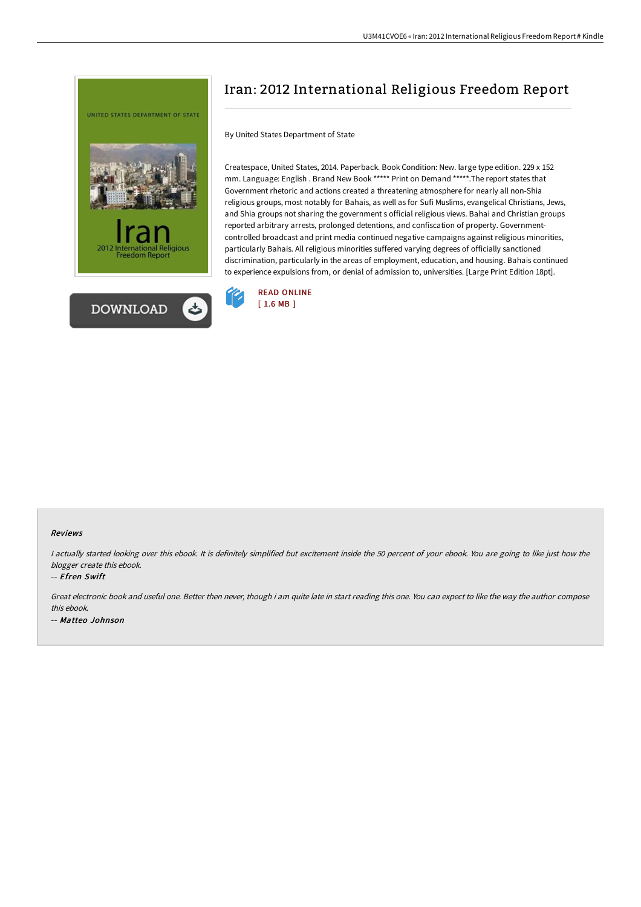



## Iran: 2012 International Religious Freedom Report

By United States Department of State

Createspace, United States, 2014. Paperback. Book Condition: New. large type edition. 229 x 152 mm. Language: English . Brand New Book \*\*\*\*\* Print on Demand \*\*\*\*\*.The report states that Government rhetoric and actions created a threatening atmosphere for nearly all non-Shia religious groups, most notably for Bahais, as well as for Sufi Muslims, evangelical Christians, Jews, and Shia groups not sharing the government s official religious views. Bahai and Christian groups reported arbitrary arrests, prolonged detentions, and confiscation of property. Governmentcontrolled broadcast and print media continued negative campaigns against religious minorities, particularly Bahais. All religious minorities suffered varying degrees of officially sanctioned discrimination, particularly in the areas of employment, education, and housing. Bahais continued to experience expulsions from, or denial of admission to, universities. [Large Print Edition 18pt].



## Reviews

<sup>I</sup> actually started looking over this ebook. It is definitely simplified but excitement inside the <sup>50</sup> percent of your ebook. You are going to like just how the blogger create this ebook.

## -- Efren Swift

Great electronic book and useful one. Better then never, though i am quite late in start reading this one. You can expect to like the way the author compose this ebook. -- Matteo Johnson